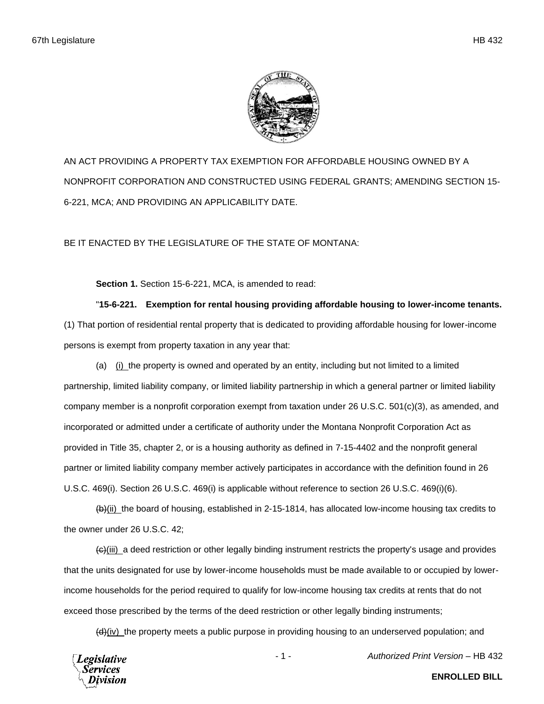

AN ACT PROVIDING A PROPERTY TAX EXEMPTION FOR AFFORDABLE HOUSING OWNED BY A NONPROFIT CORPORATION AND CONSTRUCTED USING FEDERAL GRANTS; AMENDING SECTION 15- 6-221, MCA; AND PROVIDING AN APPLICABILITY DATE.

BE IT ENACTED BY THE LEGISLATURE OF THE STATE OF MONTANA:

**Section 1.** Section 15-6-221, MCA, is amended to read:

"**15-6-221. Exemption for rental housing providing affordable housing to lower-income tenants.** (1) That portion of residential rental property that is dedicated to providing affordable housing for lower-income persons is exempt from property taxation in any year that:

(a) (i) the property is owned and operated by an entity, including but not limited to a limited partnership, limited liability company, or limited liability partnership in which a general partner or limited liability company member is a nonprofit corporation exempt from taxation under 26 U.S.C. 501(c)(3), as amended, and incorporated or admitted under a certificate of authority under the Montana Nonprofit Corporation Act as provided in Title 35, chapter 2, or is a housing authority as defined in 7-15-4402 and the nonprofit general partner or limited liability company member actively participates in accordance with the definition found in 26 U.S.C. 469(i). Section 26 U.S.C. 469(i) is applicable without reference to section 26 U.S.C. 469(i)(6).

(b)(ii) the board of housing, established in 2-15-1814, has allocated low-income housing tax credits to the owner under 26 U.S.C. 42;

 $\left(\frac{c}{\theta}\right)$  a deed restriction or other legally binding instrument restricts the property's usage and provides that the units designated for use by lower-income households must be made available to or occupied by lowerincome households for the period required to qualify for low-income housing tax credits at rents that do not exceed those prescribed by the terms of the deed restriction or other legally binding instruments;

 $(d)$ (iv) the property meets a public purpose in providing housing to an underserved population; and



**ENROLLED BILL**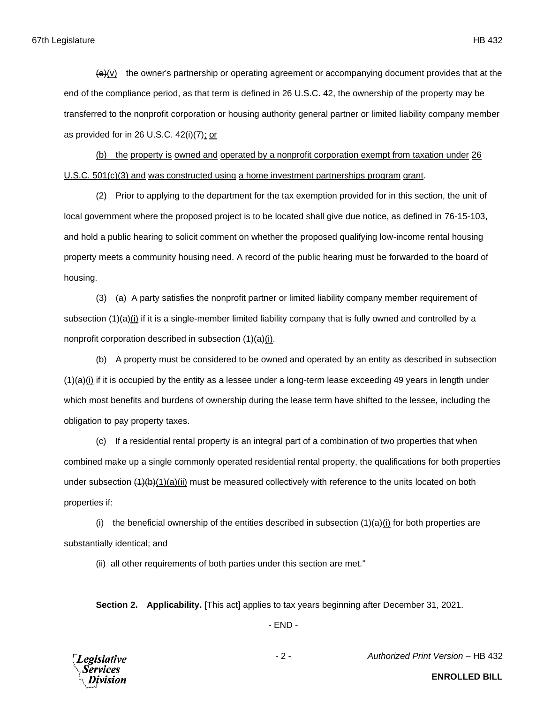$\left\langle \Theta \right\rangle$ (v) the owner's partnership or operating agreement or accompanying document provides that at the end of the compliance period, as that term is defined in 26 U.S.C. 42, the ownership of the property may be transferred to the nonprofit corporation or housing authority general partner or limited liability company member as provided for in 26 U.S.C. 42(i)(7); or

(b) the property is owned and operated by a nonprofit corporation exempt from taxation under 26 U.S.C. 501(c)(3) and was constructed using a home investment partnerships program grant.

(2) Prior to applying to the department for the tax exemption provided for in this section, the unit of local government where the proposed project is to be located shall give due notice, as defined in 76-15-103, and hold a public hearing to solicit comment on whether the proposed qualifying low-income rental housing property meets a community housing need. A record of the public hearing must be forwarded to the board of housing.

(3) (a) A party satisfies the nonprofit partner or limited liability company member requirement of subsection (1)(a)(i) if it is a single-member limited liability company that is fully owned and controlled by a nonprofit corporation described in subsection (1)(a)(i).

(b) A property must be considered to be owned and operated by an entity as described in subsection  $(1)(a)(i)$  if it is occupied by the entity as a lessee under a long-term lease exceeding 49 years in length under which most benefits and burdens of ownership during the lease term have shifted to the lessee, including the obligation to pay property taxes.

(c) If a residential rental property is an integral part of a combination of two properties that when combined make up a single commonly operated residential rental property, the qualifications for both properties under subsection  $(1)(b)(1)(a)(ii)$  must be measured collectively with reference to the units located on both properties if:

(i) the beneficial ownership of the entities described in subsection  $(1)(a)(i)$  for both properties are substantially identical; and

(ii) all other requirements of both parties under this section are met."

**Section 2. Applicability.** [This act] applies to tax years beginning after December 31, 2021.

- END -



**ENROLLED BILL**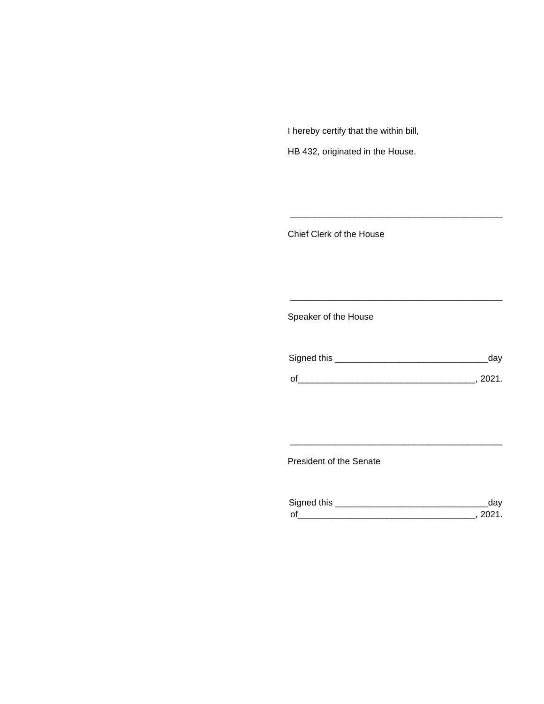I hereby certify that the within bill,

HB 432, originated in the House.

Chief Clerk of the House

Speaker of the House

| Signed this | dav    |
|-------------|--------|
| $\Omega$    | - 2021 |

\_\_\_\_\_\_\_\_\_\_\_\_\_\_\_\_\_\_\_\_\_\_\_\_\_\_\_\_\_\_\_\_\_\_\_\_\_\_\_\_\_\_\_

\_\_\_\_\_\_\_\_\_\_\_\_\_\_\_\_\_\_\_\_\_\_\_\_\_\_\_\_\_\_\_\_\_\_\_\_\_\_\_\_\_\_\_

President of the Senate

| Sianed this |  |
|-------------|--|
| $\Omega$    |  |

\_\_\_\_\_\_\_\_\_\_\_\_\_\_\_\_\_\_\_\_\_\_\_\_\_\_\_\_\_\_\_\_\_\_\_\_\_\_\_\_\_\_\_